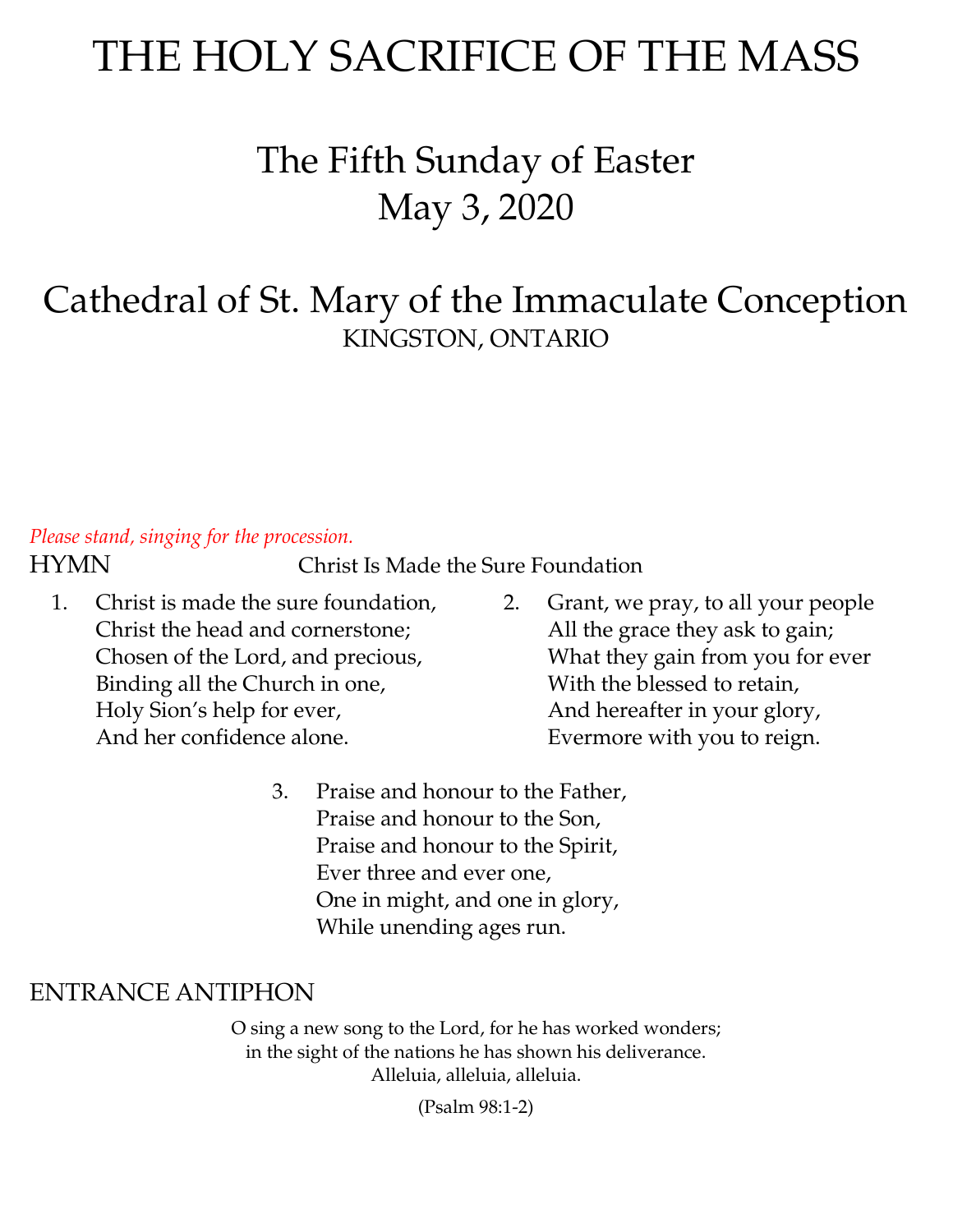# THE HOLY SACRIFICE OF THE MASS

# The Fifth Sunday of Easter May 3, 2020

# Cathedral of St. Mary of the Immaculate Conception KINGSTON, ONTARIO

### *Please stand, singing for the procession.*

HYMN Christ Is Made the Sure Foundation

- 1. Christ is made the sure foundation, Christ the head and cornerstone; Chosen of the Lord, and precious, Binding all the Church in one, Holy Sion's help for ever, And her confidence alone.
- 2. Grant, we pray, to all your people All the grace they ask to gain; What they gain from you for ever With the blessed to retain, And hereafter in your glory, Evermore with you to reign.
- 3. Praise and honour to the Father, Praise and honour to the Son, Praise and honour to the Spirit, Ever three and ever one, One in might, and one in glory, While unending ages run.

### ENTRANCE ANTIPHON

O sing a new song to the Lord, for he has worked wonders; in the sight of the nations he has shown his deliverance. Alleluia, alleluia, alleluia.

(Psalm 98:1-2)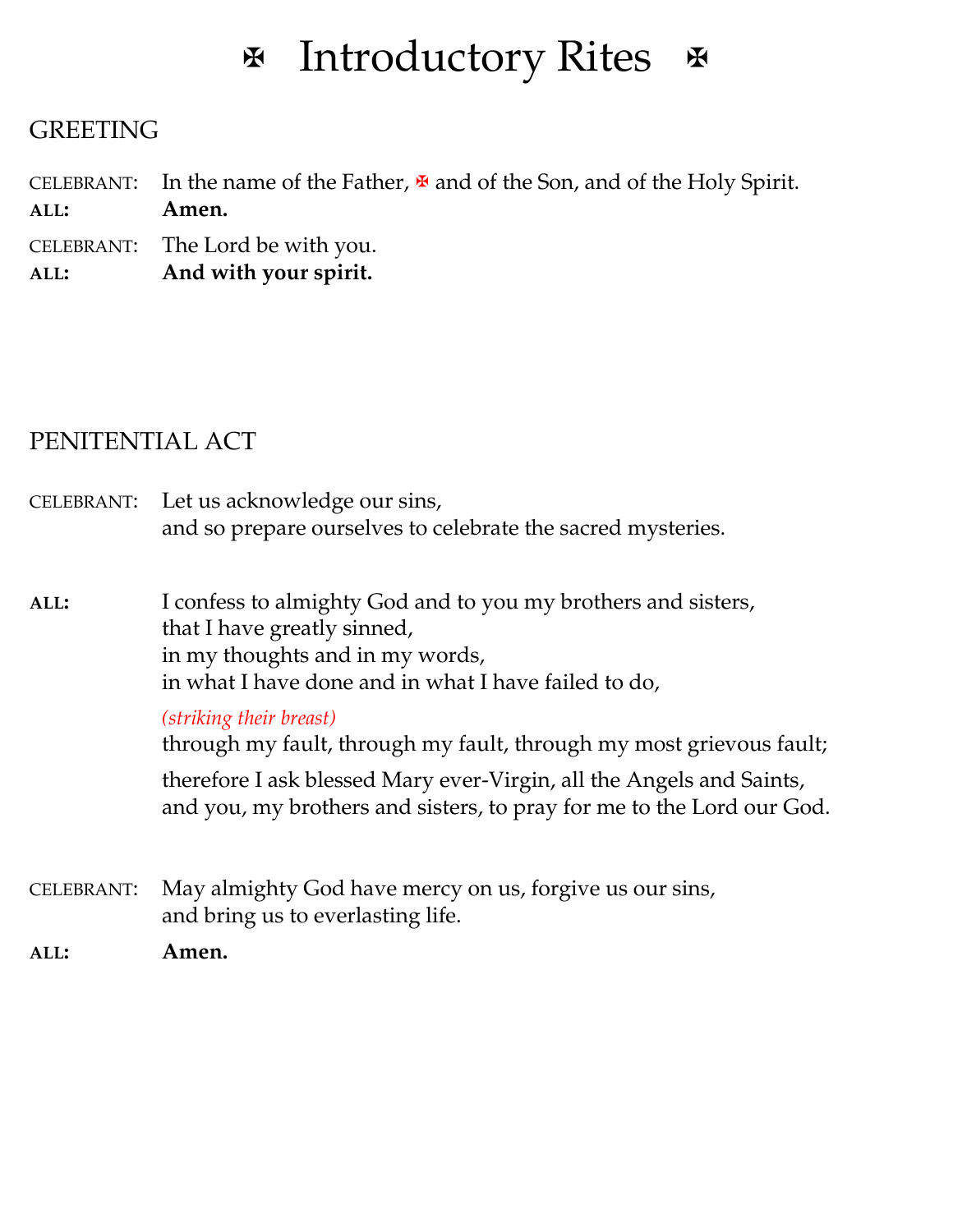# **E** Introductory Rites &

### **GREETING**

CELEBRANT: In the name of the Father,  $\mathbf{\Psi}$  and of the Son, and of the Holy Spirit. **ALL: Amen.**

CELEBRANT: The Lord be with you.

**ALL: And with your spirit.**

### PENITENTIAL ACT

CELEBRANT: Let us acknowledge our sins, and so prepare ourselves to celebrate the sacred mysteries.

**ALL:** I confess to almighty God and to you my brothers and sisters, that I have greatly sinned, in my thoughts and in my words, in what I have done and in what I have failed to do,

### *(striking their breast)*

through my fault, through my fault, through my most grievous fault;

therefore I ask blessed Mary ever-Virgin, all the Angels and Saints, and you, my brothers and sisters, to pray for me to the Lord our God.

CELEBRANT: May almighty God have mercy on us, forgive us our sins, and bring us to everlasting life.

**ALL: Amen.**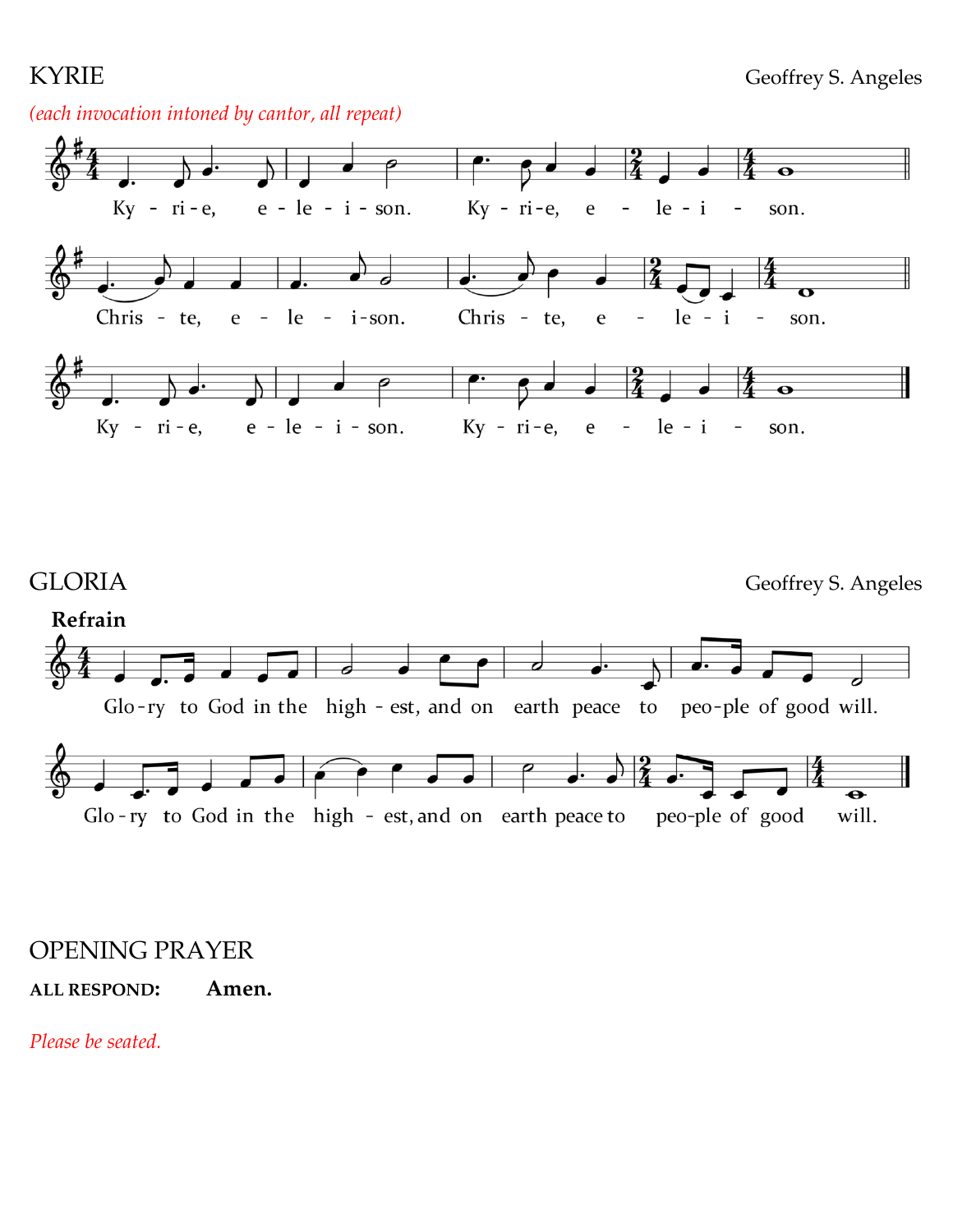### *(each invocation intoned by cantor, all repeat)*





### OPENING PRAYER

### **ALL RESPOND: Amen.**

*Please be seated.*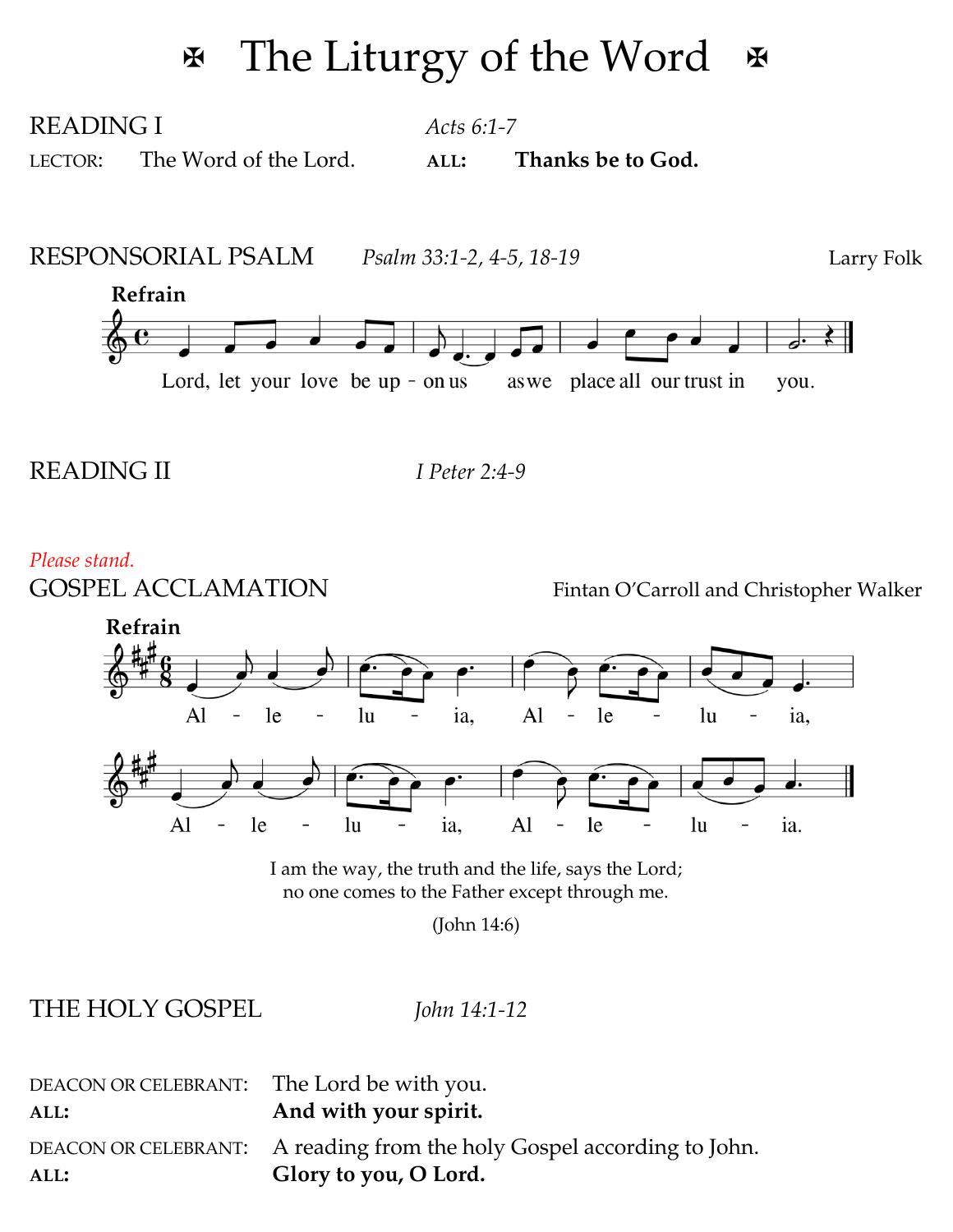# $\mathbb F$  The Liturgy of the Word  $\mathbb F$

READING I *Acts 6:1-7* LECTOR: The Word of the Lord. **ALL: Thanks be to God.**

RESPONSORIAL PSALM *Psalm 33:1-2, 4-5, 18-19* Larry Folk



### READING II *I Peter 2:4-9*

#### *Please stand.*

GOSPEL ACCLAMATION Fintan O'Carroll and Christopher Walker



I am the way, the truth and the life, says the Lord; no one comes to the Father except through me.

(John 14:6)

THE HOLY GOSPEL *John 14:1-12*

| DEACON OR CELEBRANT: The Lord be with you. |                                                                        |
|--------------------------------------------|------------------------------------------------------------------------|
| ALL:                                       | And with your spirit.                                                  |
|                                            | DEACON OR CELEBRANT: A reading from the holy Gospel according to John. |
| ALL:                                       | Glory to you, O Lord.                                                  |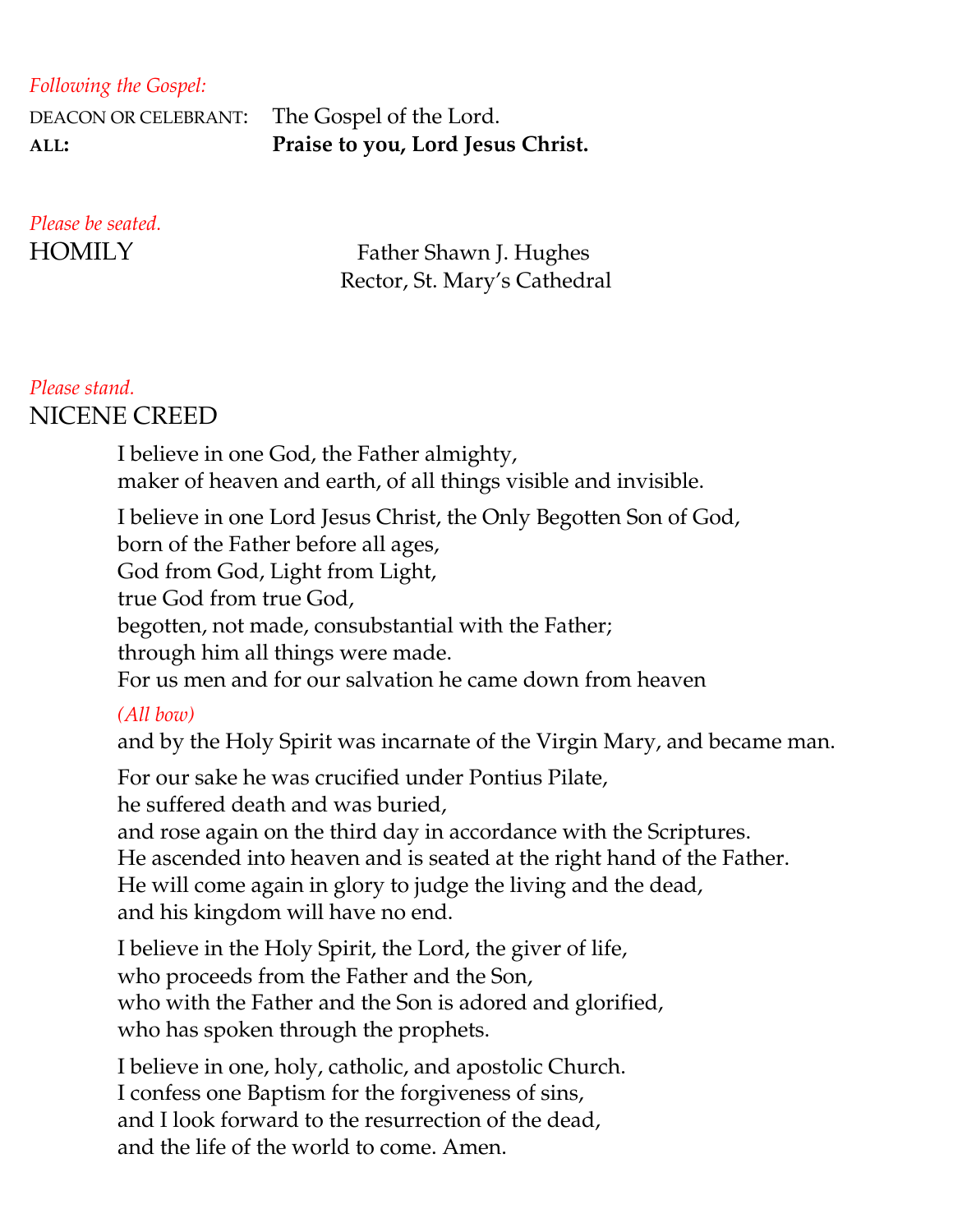### *Following the Gospel:*

DEACON OR CELEBRANT: The Gospel of the Lord. **ALL: Praise to you, Lord Jesus Christ.**

# *Please be seated.*

HOMILY Father Shawn J. Hughes Rector, St. Mary's Cathedral

### *Please stand.* NICENE CREED

I believe in one God, the Father almighty, maker of heaven and earth, of all things visible and invisible.

I believe in one Lord Jesus Christ, the Only Begotten Son of God, born of the Father before all ages, God from God, Light from Light, true God from true God, begotten, not made, consubstantial with the Father; through him all things were made. For us men and for our salvation he came down from heaven *(All bow)*

and by the Holy Spirit was incarnate of the Virgin Mary, and became man.

For our sake he was crucified under Pontius Pilate, he suffered death and was buried, and rose again on the third day in accordance with the Scriptures. He ascended into heaven and is seated at the right hand of the Father. He will come again in glory to judge the living and the dead, and his kingdom will have no end.

I believe in the Holy Spirit, the Lord, the giver of life, who proceeds from the Father and the Son, who with the Father and the Son is adored and glorified, who has spoken through the prophets.

I believe in one, holy, catholic, and apostolic Church. I confess one Baptism for the forgiveness of sins, and I look forward to the resurrection of the dead, and the life of the world to come. Amen.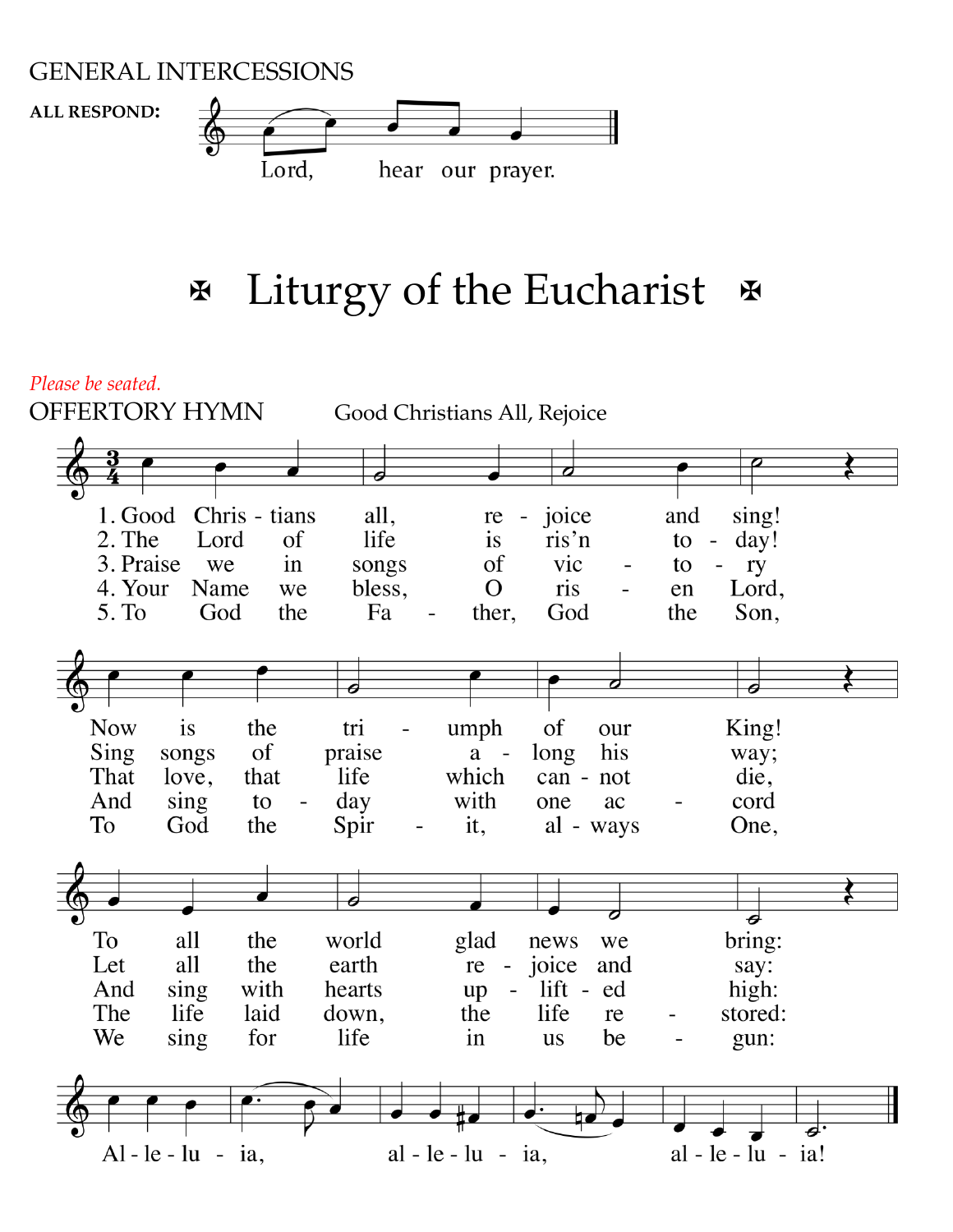### GENERAL INTERCESSIONS

**ALL RESPOND:**



# **Ex** Liturgy of the Eucharist &

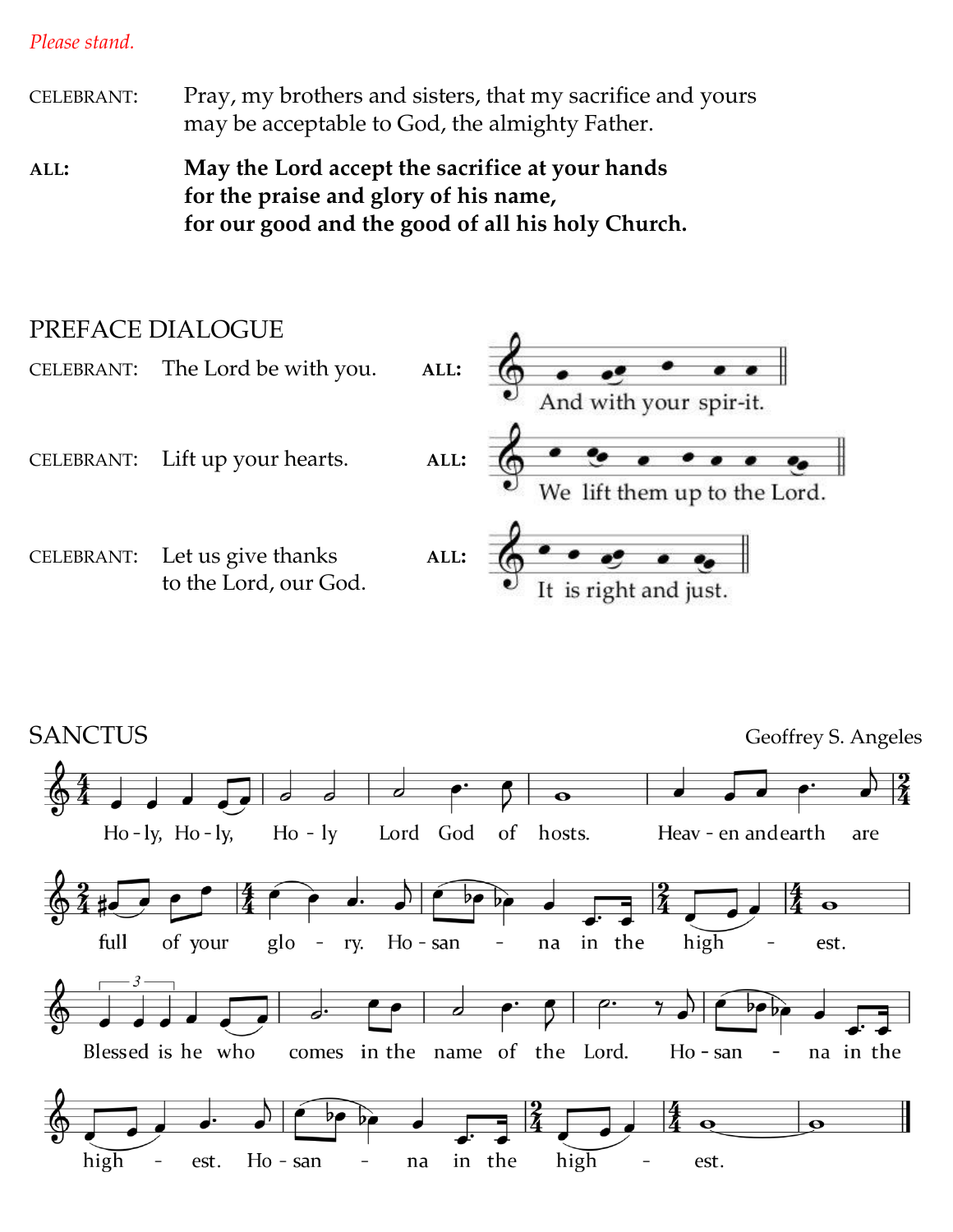*Please stand.*

CELEBRANT: Pray, my brothers and sisters, that my sacrifice and yours may be acceptable to God, the almighty Father.

**ALL: May the Lord accept the sacrifice at your hands for the praise and glory of his name, for our good and the good of all his holy Church.**

## PREFACE DIALOGUE



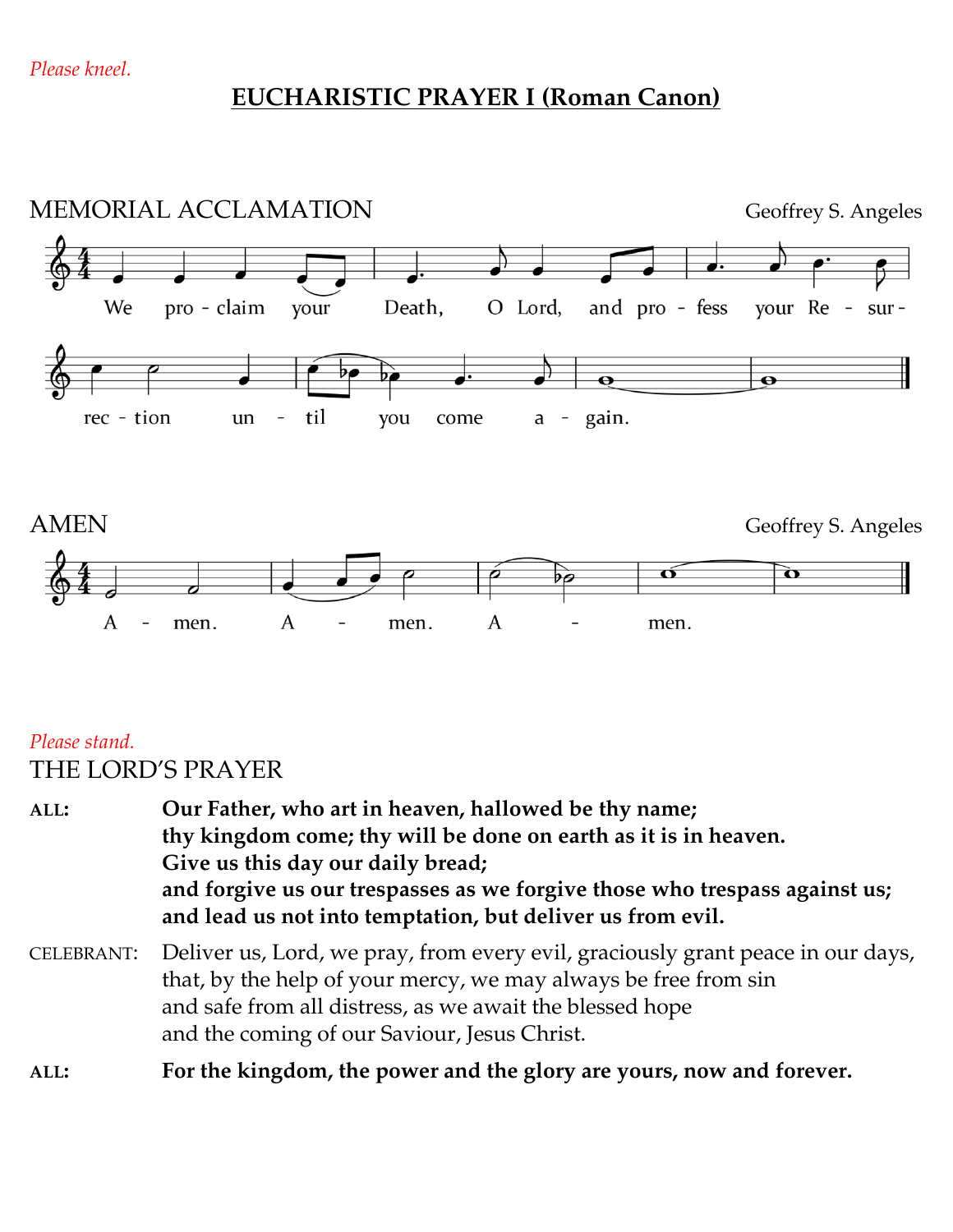### **EUCHARISTIC PRAYER I (Roman Canon)**



### *Please stand.* THE LORD'S PRAYER

**ALL: Our Father, who art in heaven, hallowed be thy name; thy kingdom come; thy will be done on earth as it is in heaven. Give us this day our daily bread; and forgive us our trespasses as we forgive those who trespass against us; and lead us not into temptation, but deliver us from evil.**  CELEBRANT: Deliver us, Lord, we pray, from every evil, graciously grant peace in our days, that, by the help of your mercy, we may always be free from sin and safe from all distress, as we await the blessed hope and the coming of our Saviour, Jesus Christ. **ALL: For the kingdom, the power and the glory are yours, now and forever.**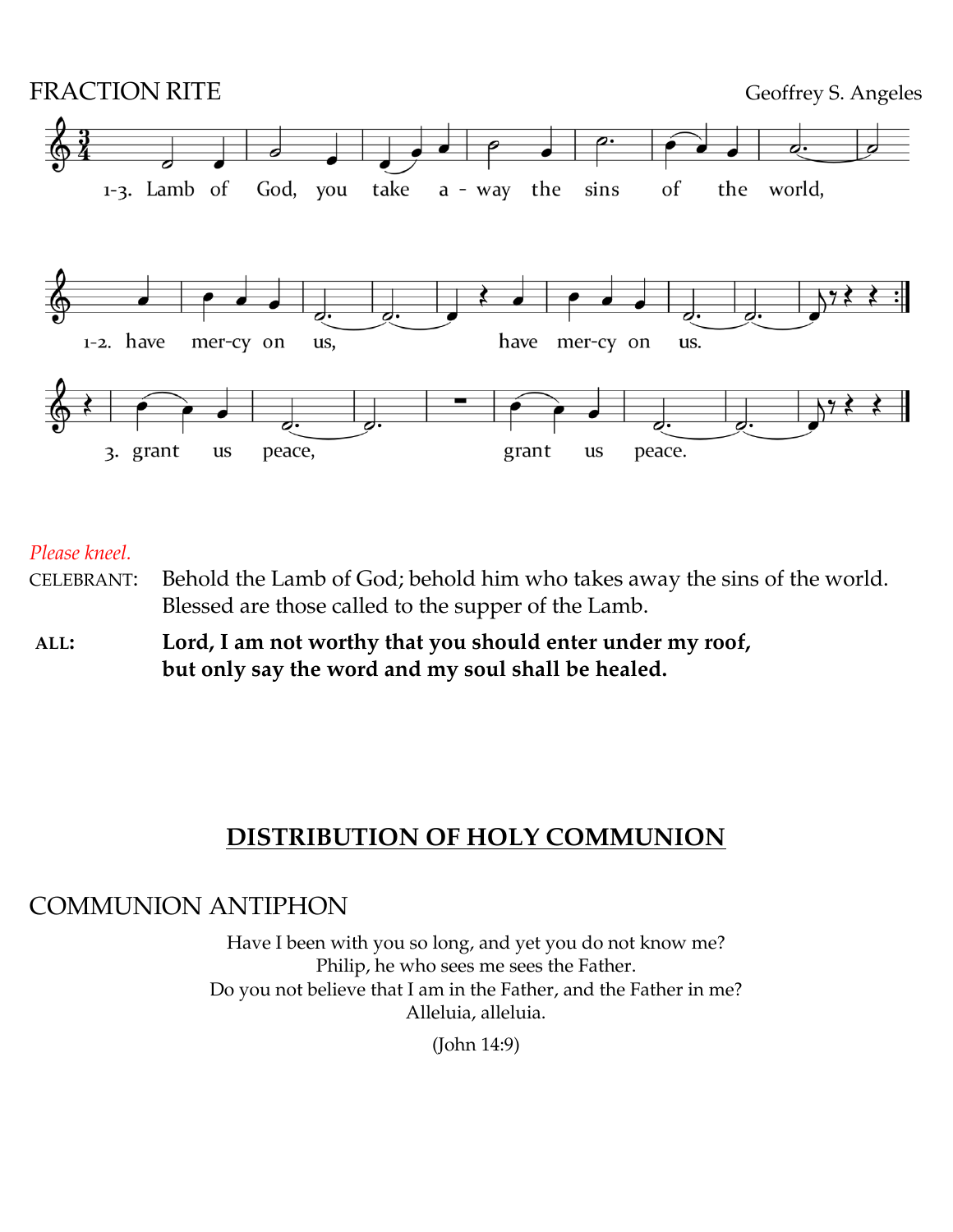

*Please kneel.*

- CELEBRANT: Behold the Lamb of God; behold him who takes away the sins of the world. Blessed are those called to the supper of the Lamb.
- **ALL: Lord, I am not worthy that you should enter under my roof, but only say the word and my soul shall be healed.**

### **DISTRIBUTION OF HOLY COMMUNION**

### COMMUNION ANTIPHON

Have I been with you so long, and yet you do not know me? Philip, he who sees me sees the Father. Do you not believe that I am in the Father, and the Father in me? Alleluia, alleluia.

(John 14:9)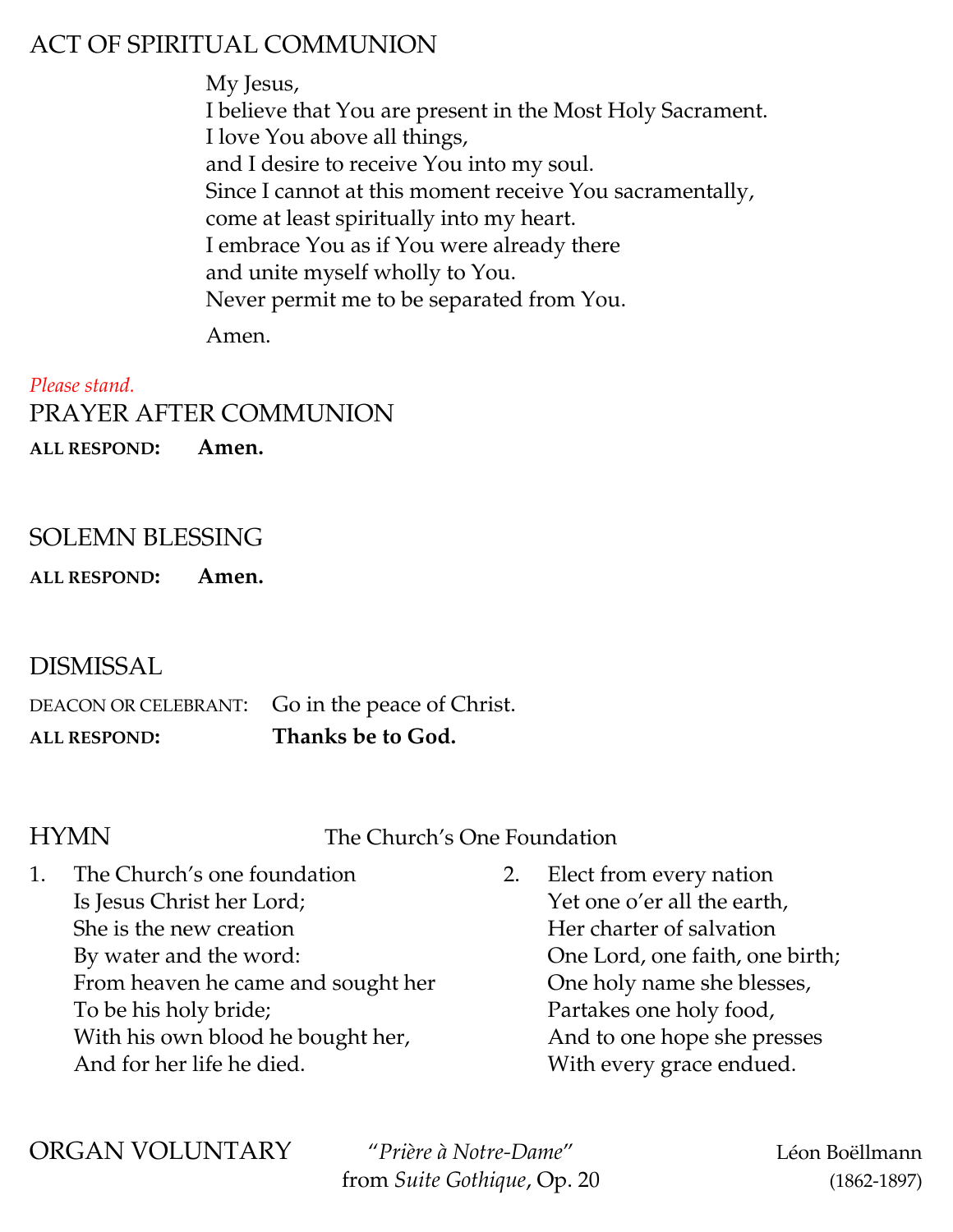## ACT OF SPIRITUAL COMMUNION

My Jesus, I believe that You are present in the Most Holy Sacrament. I love You above all things, and I desire to receive You into my soul. Since I cannot at this moment receive You sacramentally, come at least spiritually into my heart. I embrace You as if You were already there and unite myself wholly to You. Never permit me to be separated from You.

Amen.

*Please stand.* PRAYER AFTER COMMUNION **ALL RESPOND: Amen.**

### SOLEMN BLESSING

**ALL RESPOND: Amen.**

DISMISSAL

DEACON OR CELEBRANT: Go in the peace of Christ. **ALL RESPOND: Thanks be to God.**

HYMN The Church's One Foundation

| The Church's one foundation        | 2. Elect from every nation      |
|------------------------------------|---------------------------------|
| Is Jesus Christ her Lord;          | Yet one o'er all the earth,     |
| She is the new creation            | Her charter of salvation        |
| By water and the word:             | One Lord, one faith, one birth; |
| From heaven he came and sought her | One holy name she blesses,      |
| To be his holy bride;              | Partakes one holy food,         |
| With his own blood he bought her,  | And to one hope she presses     |
| And for her life he died.          | With every grace endued.        |

ORGAN VOLUNTARY "*Prière à Notre-Dame*" Léon Boëllmann

from *Suite Gothique*, Op. 20 (1862-1897)